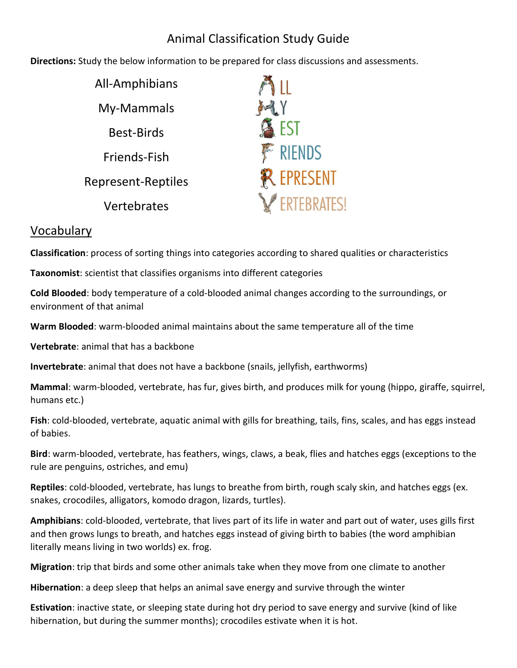# Animal Classification Study Guide

**Directions:** Study the below information to be prepared for class discussions and assessments.

| All-Amphibians            |                    |
|---------------------------|--------------------|
| My-Mammals                |                    |
| <b>Best-Birds</b>         | EST                |
| Friends-Fish              | <b>RIENDS</b>      |
| <b>Represent-Reptiles</b> | <b>EPRESENT</b>    |
| Vertebrates               | <b>ERTEBRATES!</b> |
|                           |                    |

### Vocabulary

**Classification**: process of sorting things into categories according to shared qualities or characteristics

**Taxonomist**: scientist that classifies organisms into different categories

**Cold Blooded**: body temperature of a cold-blooded animal changes according to the surroundings, or environment of that animal

**Warm Blooded**: warm-blooded animal maintains about the same temperature all of the time

**Vertebrate**: animal that has a backbone

**Invertebrate**: animal that does not have a backbone (snails, jellyfish, earthworms)

**Mammal**: warm-blooded, vertebrate, has fur, gives birth, and produces milk for young (hippo, giraffe, squirrel, humans etc.)

**Fish**: cold-blooded, vertebrate, aquatic animal with gills for breathing, tails, fins, scales, and has eggs instead of babies.

**Bird**: warm-blooded, vertebrate, has feathers, wings, claws, a beak, flies and hatches eggs (exceptions to the rule are penguins, ostriches, and emu)

**Reptiles**: cold-blooded, vertebrate, has lungs to breathe from birth, rough scaly skin, and hatches eggs (ex. snakes, crocodiles, alligators, komodo dragon, lizards, turtles).

**Amphibians**: cold-blooded, vertebrate, that lives part of its life in water and part out of water, uses gills first and then grows lungs to breath, and hatches eggs instead of giving birth to babies (the word amphibian literally means living in two worlds) ex. frog.

**Migration**: trip that birds and some other animals take when they move from one climate to another

**Hibernation**: a deep sleep that helps an animal save energy and survive through the winter

**Estivation**: inactive state, or sleeping state during hot dry period to save energy and survive (kind of like hibernation, but during the summer months); crocodiles estivate when it is hot.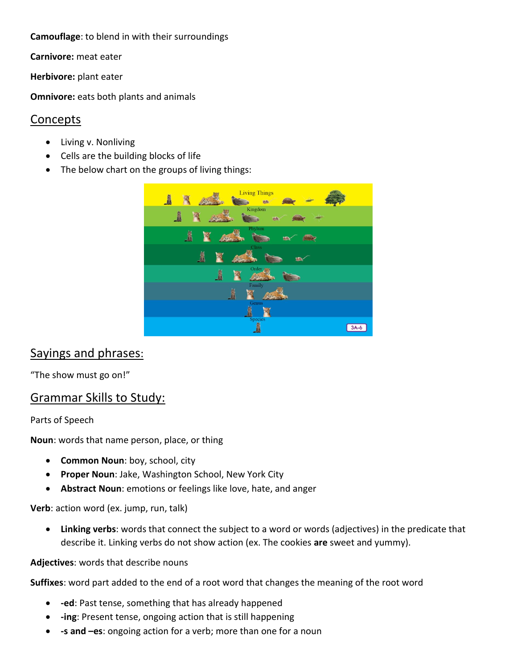**Camouflage**: to blend in with their surroundings

**Carnivore:** meat eater

**Herbivore:** plant eater

**Omnivore:** eats both plants and animals

#### Concepts

- Living v. Nonliving
- Cells are the building blocks of life
- The below chart on the groups of living things:



## Sayings and phrases:

"The show must go on!"

## Grammar Skills to Study:

Parts of Speech

**Noun**: words that name person, place, or thing

- **Common Noun**: boy, school, city
- **Proper Noun**: Jake, Washington School, New York City
- **Abstract Noun**: emotions or feelings like love, hate, and anger

**Verb**: action word (ex. jump, run, talk)

 **Linking verbs**: words that connect the subject to a word or words (adjectives) in the predicate that describe it. Linking verbs do not show action (ex. The cookies **are** sweet and yummy).

#### **Adjectives**: words that describe nouns

**Suffixes**: word part added to the end of a root word that changes the meaning of the root word

- **-ed**: Past tense, something that has already happened
- **-ing**: Present tense, ongoing action that is still happening
- **-s and –es**: ongoing action for a verb; more than one for a noun